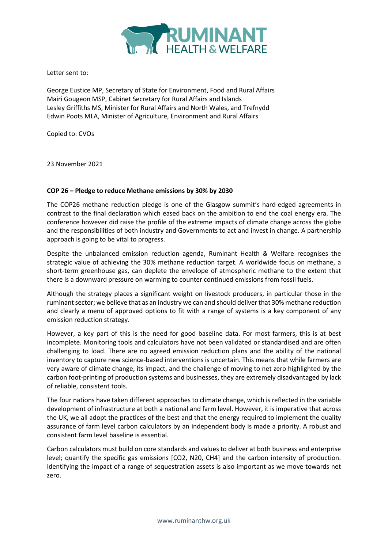

Letter sent to:

George Eustice MP, Secretary of State for Environment, Food and Rural Affairs Mairi Gougeon MSP, Cabinet Secretary for Rural Affairs and Islands Lesley Griffiths MS, Minister for Rural Affairs and North Wales, and Trefnydd Edwin Poots MLA, Minister of Agriculture, Environment and Rural Affairs

Copied to: CVOs

23 November 2021

## COP 26 – Pledge to reduce Methane emissions by 30% by 2030

The COP26 methane reduction pledge is one of the Glasgow summit's hard-edged agreements in contrast to the final declaration which eased back on the ambition to end the coal energy era. The conference however did raise the profile of the extreme impacts of climate change across the globe and the responsibilities of both industry and Governments to act and invest in change. A partnership approach is going to be vital to progress.

Despite the unbalanced emission reduction agenda, Ruminant Health & Welfare recognises the strategic value of achieving the 30% methane reduction target. A worldwide focus on methane, a short-term greenhouse gas, can deplete the envelope of atmospheric methane to the extent that there is a downward pressure on warming to counter continued emissions from fossil fuels.

Although the strategy places a significant weight on livestock producers, in particular those in the ruminant sector; we believe that as an industry we can and should deliver that 30% methane reduction and clearly a menu of approved options to fit with a range of systems is a key component of any emission reduction strategy.

However, a key part of this is the need for good baseline data. For most farmers, this is at best incomplete. Monitoring tools and calculators have not been validated or standardised and are often challenging to load. There are no agreed emission reduction plans and the ability of the national inventory to capture new science-based interventions is uncertain. This means that while farmers are very aware of climate change, its impact, and the challenge of moving to net zero highlighted by the carbon foot-printing of production systems and businesses, they are extremely disadvantaged by lack of reliable, consistent tools.

The four nations have taken different approaches to climate change, which is reflected in the variable development of infrastructure at both a national and farm level. However, it is imperative that across the UK, we all adopt the practices of the best and that the energy required to implement the quality assurance of farm level carbon calculators by an independent body is made a priority. A robust and consistent farm level baseline is essential.

Carbon calculators must build on core standards and values to deliver at both business and enterprise level; quantify the specific gas emissions [CO2, N20, CH4] and the carbon intensity of production. Identifying the impact of a range of sequestration assets is also important as we move towards net zero.